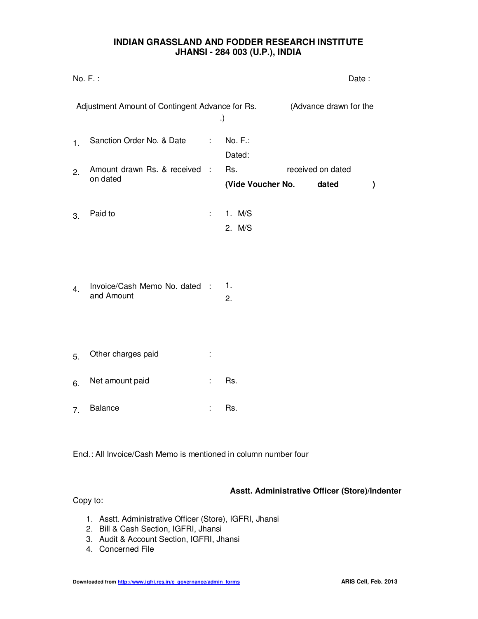# **INDIAN GRASSLAND AND FODDER RESEARCH INSTITUTE JHANSI - 284 003 (U.P.), INDIA**

| No. F.:<br>Date:                                |                                             |                            |                      |                        |                   |              |
|-------------------------------------------------|---------------------------------------------|----------------------------|----------------------|------------------------|-------------------|--------------|
| Adjustment Amount of Contingent Advance for Rs. |                                             |                            | .)                   | (Advance drawn for the |                   |              |
| 1.                                              | Sanction Order No. & Date                   | $\mathcal{L}^{\text{max}}$ | $No. F.$ :<br>Dated: |                        |                   |              |
| 2.                                              | Amount drawn Rs. & received :<br>on dated   |                            | Rs.                  |                        | received on dated |              |
|                                                 |                                             |                            | (Vide Voucher No.    |                        | dated             | $\mathcal Y$ |
| 3.                                              | Paid to                                     | ÷.                         | 1. M/S<br>2. M/S     |                        |                   |              |
| 4.                                              | Invoice/Cash Memo No. dated :<br>and Amount |                            | 1.<br>2.             |                        |                   |              |
| 5.                                              | Other charges paid                          | ÷                          |                      |                        |                   |              |
| 6.                                              | Net amount paid                             | ÷                          | Rs.                  |                        |                   |              |
| 7.                                              | <b>Balance</b>                              |                            | Rs.                  |                        |                   |              |

Encl.: All Invoice/Cash Memo is mentioned in column number four

#### **Asstt. Administrative Officer (Store)/Indenter**

Copy to:

- 1. Asstt. Administrative Officer (Store), IGFRI, Jhansi
- 2. Bill & Cash Section, IGFRI, Jhansi
- 3. Audit & Account Section, IGFRI, Jhansi
- 4. Concerned File